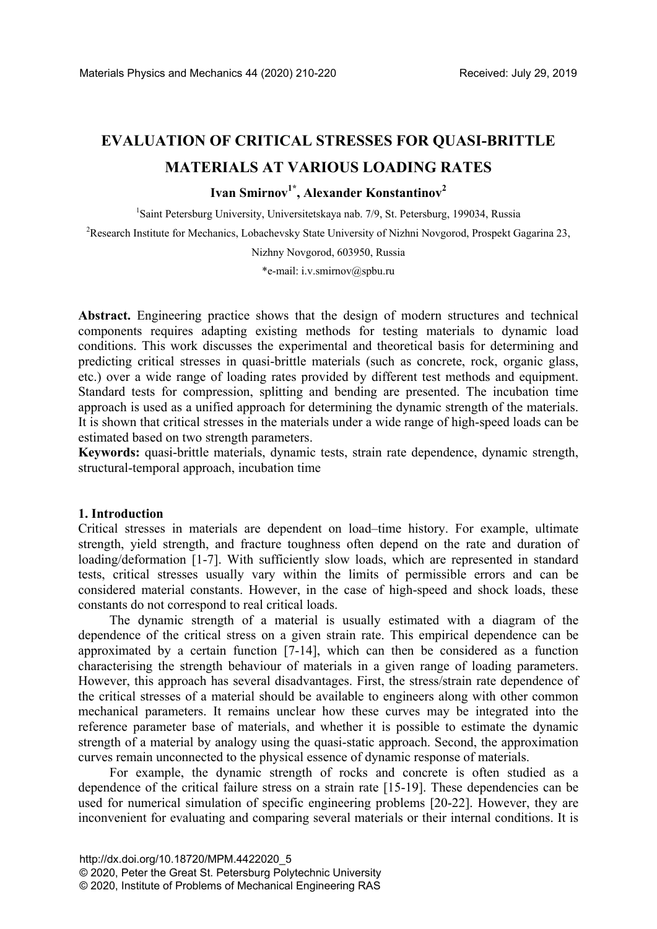# **EVALUATION OF CRITICAL STRESSES FOR QUASI-BRITTLE MATERIALS AT VARIOUS LOADING RATES**

# **Ivan Smirnov1\*, Alexander Konstantinov2**

<sup>1</sup>Saint Petersburg University, Universitetskaya nab. 7/9, St. Petersburg, 199034, Russia

<sup>2</sup>Research Institute for Mechanics, Lobachevsky State University of Nizhni Novgorod, Prospekt Gagarina 23,

Nizhny Novgorod, 603950, Russia

\*e-mail: i.v.smirnov@spbu.ru

**Abstract.** Engineering practice shows that the design of modern structures and technical components requires adapting existing methods for testing materials to dynamic load conditions. This work discusses the experimental and theoretical basis for determining and predicting critical stresses in quasi-brittle materials (such as concrete, rock, organic glass, etc.) over a wide range of loading rates provided by different test methods and equipment. Standard tests for compression, splitting and bending are presented. The incubation time approach is used as a unified approach for determining the dynamic strength of the materials. It is shown that critical stresses in the materials under a wide range of high-speed loads can be estimated based on two strength parameters.

**Keywords:** quasi-brittle materials, dynamic tests, strain rate dependence, dynamic strength, structural-temporal approach, incubation time

## **1. Introduction**

Critical stresses in materials are dependent on load–time history. For example, ultimate strength, yield strength, and fracture toughness often depend on the rate and duration of loading/deformation [1-7]. With sufficiently slow loads, which are represented in standard tests, critical stresses usually vary within the limits of permissible errors and can be considered material constants. However, in the case of high-speed and shock loads, these constants do not correspond to real critical loads.

The dynamic strength of a material is usually estimated with a diagram of the dependence of the critical stress on a given strain rate. This empirical dependence can be approximated by a certain function [7-14], which can then be considered as a function characterising the strength behaviour of materials in a given range of loading parameters. However, this approach has several disadvantages. First, the stress/strain rate dependence of the critical stresses of a material should be available to engineers along with other common mechanical parameters. It remains unclear how these curves may be integrated into the reference parameter base of materials, and whether it is possible to estimate the dynamic strength of a material by analogy using the quasi-static approach. Second, the approximation curves remain unconnected to the physical essence of dynamic response of materials.

For example, the dynamic strength of rocks and concrete is often studied as a dependence of the critical failure stress on a strain rate [15-19]. These dependencies can be used for numerical simulation of specific engineering problems [20-22]. However, they are inconvenient for evaluating and comparing several materials or their internal conditions. It is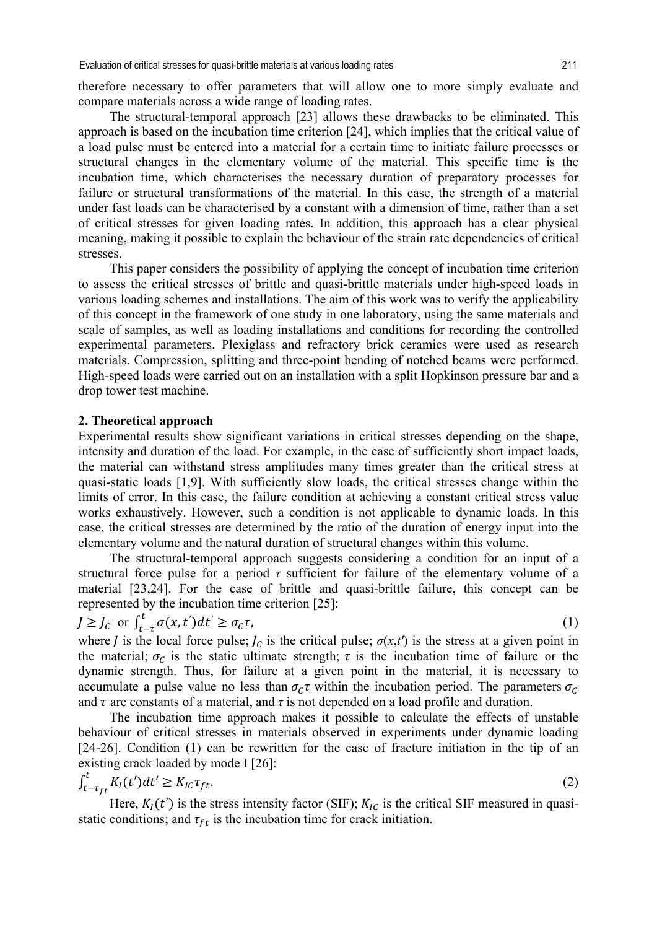therefore necessary to offer parameters that will allow one to more simply evaluate and compare materials across a wide range of loading rates.

The structural-temporal approach [23] allows these drawbacks to be eliminated. This approach is based on the incubation time criterion [24], which implies that the critical value of a load pulse must be entered into a material for a certain time to initiate failure processes or structural changes in the elementary volume of the material. This specific time is the incubation time, which characterises the necessary duration of preparatory processes for failure or structural transformations of the material. In this case, the strength of a material under fast loads can be characterised by a constant with a dimension of time, rather than a set of critical stresses for given loading rates. In addition, this approach has a clear physical meaning, making it possible to explain the behaviour of the strain rate dependencies of critical stresses.

This paper considers the possibility of applying the concept of incubation time criterion to assess the critical stresses of brittle and quasi-brittle materials under high-speed loads in various loading schemes and installations. The aim of this work was to verify the applicability of this concept in the framework of one study in one laboratory, using the same materials and scale of samples, as well as loading installations and conditions for recording the controlled experimental parameters. Plexiglass and refractory brick ceramics were used as research materials. Compression, splitting and three-point bending of notched beams were performed. High-speed loads were carried out on an installation with a split Hopkinson pressure bar and a drop tower test machine.

#### **2. Theoretical approach**

Experimental results show significant variations in critical stresses depending on the shape, intensity and duration of the load. For example, in the case of sufficiently short impact loads, the material can withstand stress amplitudes many times greater than the critical stress at quasi-static loads [1,9]. With sufficiently slow loads, the critical stresses change within the limits of error. In this case, the failure condition at achieving a constant critical stress value works exhaustively. However, such a condition is not applicable to dynamic loads. In this case, the critical stresses are determined by the ratio of the duration of energy input into the elementary volume and the natural duration of structural changes within this volume.

The structural-temporal approach suggests considering a condition for an input of a structural force pulse for a period *τ* sufficient for failure of the elementary volume of a material [23,24]. For the case of brittle and quasi-brittle failure, this concept can be represented by the incubation time criterion [25]:

$$
J \geq J_c \text{ or } \int_{t-\tau}^t \sigma(x, t')dt' \geq \sigma_c \tau,
$$
\n<sup>(1)</sup>

where *J* is the local force pulse;  $J_c$  is the critical pulse;  $\sigma(x,t')$  is the stress at a given point in the material;  $\sigma_c$  is the static ultimate strength;  $\tau$  is the incubation time of failure or the dynamic strength. Thus, for failure at a given point in the material, it is necessary to accumulate a pulse value no less than  $\sigma_c \tau$  within the incubation period. The parameters  $\sigma_c$ and  $\tau$  are constants of a material, and  $\tau$  is not depended on a load profile and duration.

The incubation time approach makes it possible to calculate the effects of unstable behaviour of critical stresses in materials observed in experiments under dynamic loading [24-26]. Condition (1) can be rewritten for the case of fracture initiation in the tip of an existing crack loaded by mode I [26]:

$$
\int_{t-\tau_{ft}}^{t} K_I(t')dt' \geq K_{IC}\tau_{ft}.\tag{2}
$$

Here,  $K_I(t')$  is the stress intensity factor (SIF);  $K_{IC}$  is the critical SIF measured in quasistatic conditions; and  $\tau_{ft}$  is the incubation time for crack initiation.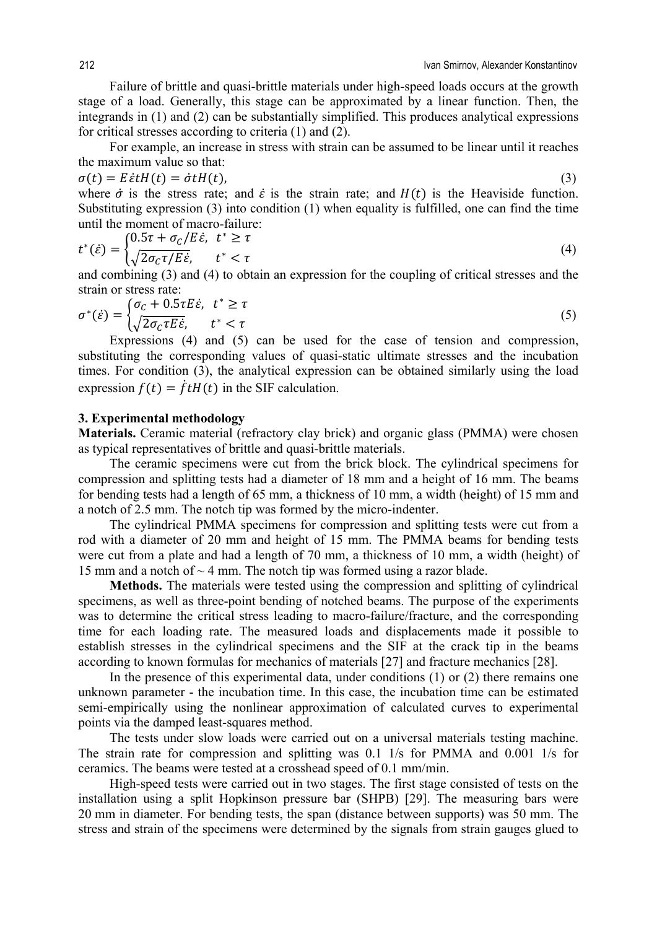Failure of brittle and quasi-brittle materials under high-speed loads occurs at the growth stage of a load. Generally, this stage can be approximated by a linear function. Then, the integrands in (1) and (2) can be substantially simplified. This produces analytical expressions for critical stresses according to criteria (1) and (2).

For example, an increase in stress with strain can be assumed to be linear until it reaches the maximum value so that:

$$
\sigma(t) = E\dot{\varepsilon}tH(t) = \dot{\sigma}tH(t),\tag{3}
$$

where  $\dot{\sigma}$  is the stress rate; and  $\dot{\varepsilon}$  is the strain rate; and  $H(t)$  is the Heaviside function. Substituting expression (3) into condition (1) when equality is fulfilled, one can find the time until the moment of macro-failure:

$$
t^*(\dot{\varepsilon}) = \begin{cases} 0.5\tau + \sigma_C/E\dot{\varepsilon}, & t^* \ge \tau \\ \sqrt{2\sigma_C\tau/E\dot{\varepsilon}}, & t^* < \tau \end{cases}
$$
(4)

and combining (3) and (4) to obtain an expression for the coupling of critical stresses and the strain or stress rate:

$$
\sigma^*(\dot{\varepsilon}) = \begin{cases} \sigma_{\varepsilon} + 0.5\tau E \dot{\varepsilon}, & t^* \ge \tau \\ \sqrt{2\sigma_{\varepsilon}\tau E \dot{\varepsilon}}, & t^* < \tau \end{cases}
$$
(5)

Expressions (4) and (5) can be used for the case of tension and compression, substituting the corresponding values of quasi-static ultimate stresses and the incubation times. For condition (3), the analytical expression can be obtained similarly using the load expression  $f(t) = \dot{f} t H(t)$  in the SIF calculation.

## **3. Experimental methodology**

**Materials.** Ceramic material (refractory clay brick) and organic glass (PMMA) were chosen as typical representatives of brittle and quasi-brittle materials.

The ceramic specimens were cut from the brick block. The cylindrical specimens for compression and splitting tests had a diameter of 18 mm and a height of 16 mm. The beams for bending tests had a length of 65 mm, a thickness of 10 mm, a width (height) of 15 mm and a notch of 2.5 mm. The notch tip was formed by the micro-indenter.

The cylindrical PMMA specimens for compression and splitting tests were cut from a rod with a diameter of 20 mm and height of 15 mm. The PMMA beams for bending tests were cut from a plate and had a length of 70 mm, a thickness of 10 mm, a width (height) of 15 mm and a notch of  $\sim$  4 mm. The notch tip was formed using a razor blade.

**Methods.** The materials were tested using the compression and splitting of cylindrical specimens, as well as three-point bending of notched beams. The purpose of the experiments was to determine the critical stress leading to macro-failure/fracture, and the corresponding time for each loading rate. The measured loads and displacements made it possible to establish stresses in the cylindrical specimens and the SIF at the crack tip in the beams according to known formulas for mechanics of materials [27] and fracture mechanics [28].

In the presence of this experimental data, under conditions (1) or (2) there remains one unknown parameter - the incubation time. In this case, the incubation time can be estimated semi-empirically using the nonlinear approximation of calculated curves to experimental points via the damped least-squares method.

The tests under slow loads were carried out on a universal materials testing machine. The strain rate for compression and splitting was 0.1 1/s for PMMA and 0.001 1/s for ceramics. The beams were tested at a crosshead speed of 0.1 mm/min.

High-speed tests were carried out in two stages. The first stage consisted of tests on the installation using a split Hopkinson pressure bar (SHPB) [29]. The measuring bars were 20 mm in diameter. For bending tests, the span (distance between supports) was 50 mm. The stress and strain of the specimens were determined by the signals from strain gauges glued to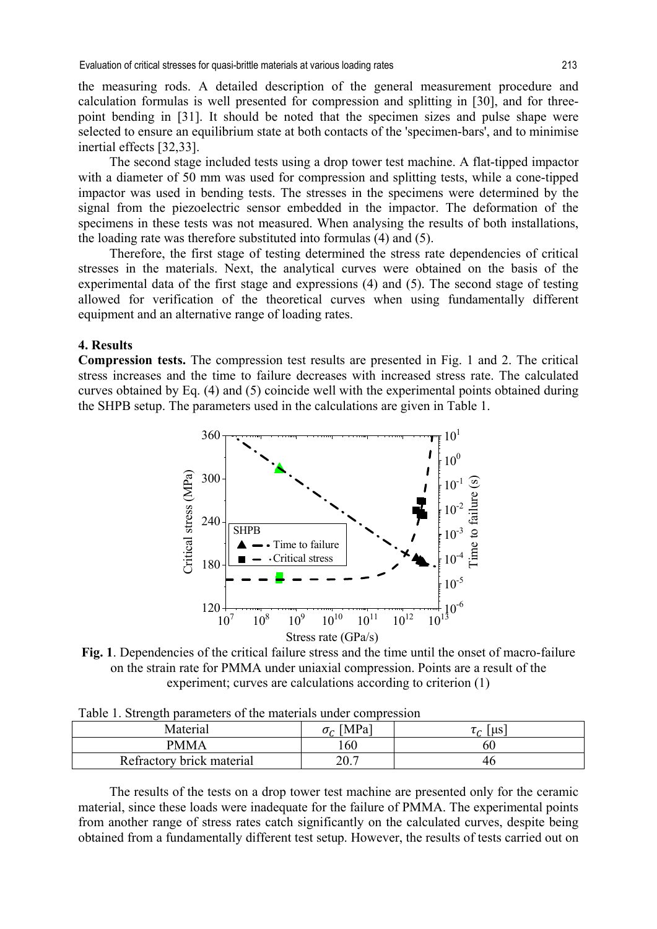the measuring rods. A detailed description of the general measurement procedure and calculation formulas is well presented for compression and splitting in [30], and for threepoint bending in [31]. It should be noted that the specimen sizes and pulse shape were selected to ensure an equilibrium state at both contacts of the 'specimen-bars', and to minimise inertial effects [32,33].

The second stage included tests using a drop tower test machine. A flat-tipped impactor with a diameter of 50 mm was used for compression and splitting tests, while a cone-tipped impactor was used in bending tests. The stresses in the specimens were determined by the signal from the piezoelectric sensor embedded in the impactor. The deformation of the specimens in these tests was not measured. When analysing the results of both installations, the loading rate was therefore substituted into formulas (4) and (5).

Therefore, the first stage of testing determined the stress rate dependencies of critical stresses in the materials. Next, the analytical curves were obtained on the basis of the experimental data of the first stage and expressions (4) and (5). The second stage of testing allowed for verification of the theoretical curves when using fundamentally different equipment and an alternative range of loading rates.

### **4. Results**

**Compression tests.** The compression test results are presented in Fig. 1 and 2. The critical stress increases and the time to failure decreases with increased stress rate. The calculated curves obtained by Eq. (4) and (5) coincide well with the experimental points obtained during the SHPB setup. The parameters used in the calculations are given in Table 1.



**Fig. 1**. Dependencies of the critical failure stress and the time until the onset of macro-failure on the strain rate for PMMA under uniaxial compression. Points are a result of the experiment; curves are calculations according to criterion (1)

| Table 1. Strength parameters of the materials under compression |  |  |  |
|-----------------------------------------------------------------|--|--|--|
|                                                                 |  |  |  |

| . .                       |                  |                                        |  |
|---------------------------|------------------|----------------------------------------|--|
| Material                  | $\sigma_c$ [MPa] | $\lceil \mu s \rceil$<br>$\sim$ $\sim$ |  |
| <b>PMMA</b>               | 160              | 60                                     |  |
| Refractory brick material | 20.7             | 40                                     |  |

The results of the tests on a drop tower test machine are presented only for the ceramic material, since these loads were inadequate for the failure of PMMA. The experimental points from another range of stress rates catch significantly on the calculated curves, despite being obtained from a fundamentally different test setup. However, the results of tests carried out on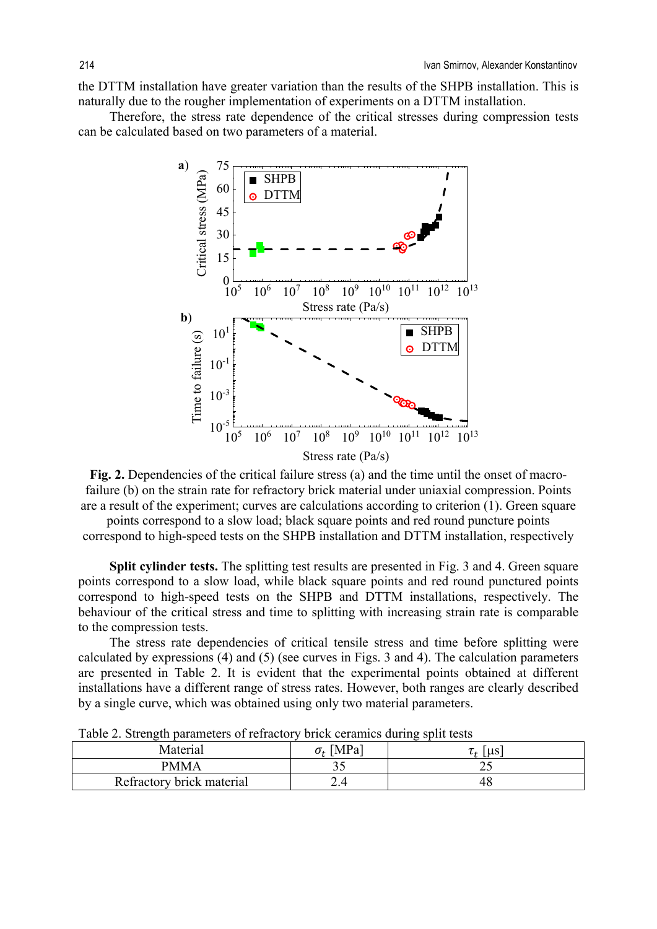the DTTM installation have greater variation than the results of the SHPB installation. This is naturally due to the rougher implementation of experiments on a DTTM installation.

Therefore, the stress rate dependence of the critical stresses during compression tests can be calculated based on two parameters of a material.



Fig. 2. Dependencies of the critical failure stress (a) and the time until the onset of macrofailure (b) on the strain rate for refractory brick material under uniaxial compression. Points are a result of the experiment; curves are calculations according to criterion (1). Green square

points correspond to a slow load; black square points and red round puncture points correspond to high-speed tests on the SHPB installation and DTTM installation, respectively

**Split cylinder tests.** The splitting test results are presented in Fig. 3 and 4. Green square points correspond to a slow load, while black square points and red round punctured points correspond to high-speed tests on the SHPB and DTTM installations, respectively. The behaviour of the critical stress and time to splitting with increasing strain rate is comparable to the compression tests.

The stress rate dependencies of critical tensile stress and time before splitting were calculated by expressions (4) and (5) (see curves in Figs. 3 and 4). The calculation parameters are presented in Table 2. It is evident that the experimental points obtained at different installations have a different range of stress rates. However, both ranges are clearly described by a single curve, which was obtained using only two material parameters.

| Material                  | MPa | 110<br><b>u</b> d |
|---------------------------|-----|-------------------|
| <b>PMMA</b>               | ັ   | ∸~                |
| Refractory brick material | ∠.− | 4č                |

Table 2. Strength parameters of refractory brick ceramics during split tests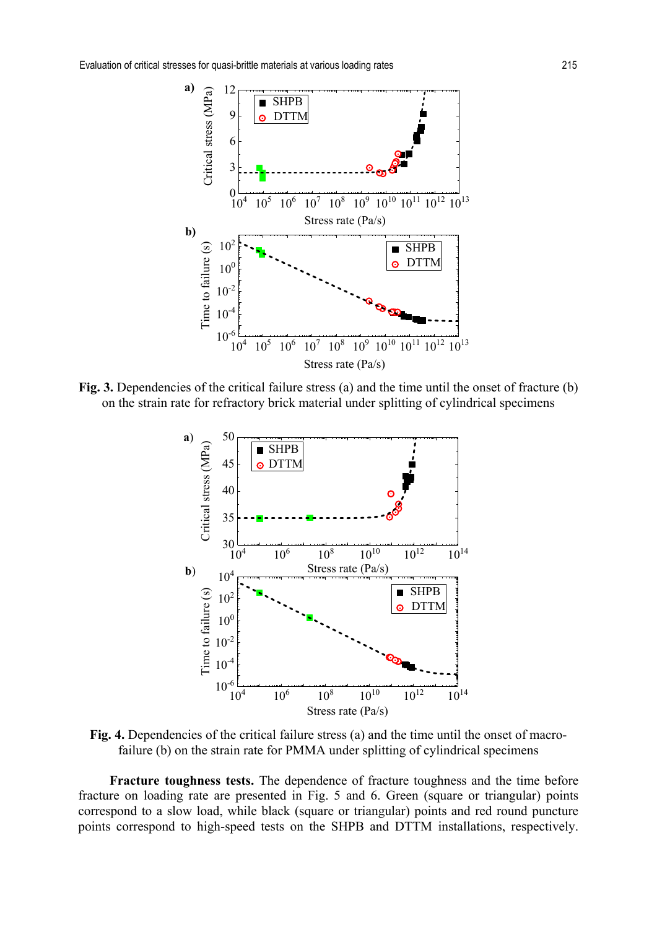

**Fig. 3.** Dependencies of the critical failure stress (a) and the time until the onset of fracture (b) on the strain rate for refractory brick material under splitting of cylindrical specimens



Fig. 4. Dependencies of the critical failure stress (a) and the time until the onset of macrofailure (b) on the strain rate for PMMA under splitting of cylindrical specimens

**Fracture toughness tests.** The dependence of fracture toughness and the time before fracture on loading rate are presented in Fig. 5 and 6. Green (square or triangular) points correspond to a slow load, while black (square or triangular) points and red round puncture points correspond to high-speed tests on the SHPB and DTTM installations, respectively.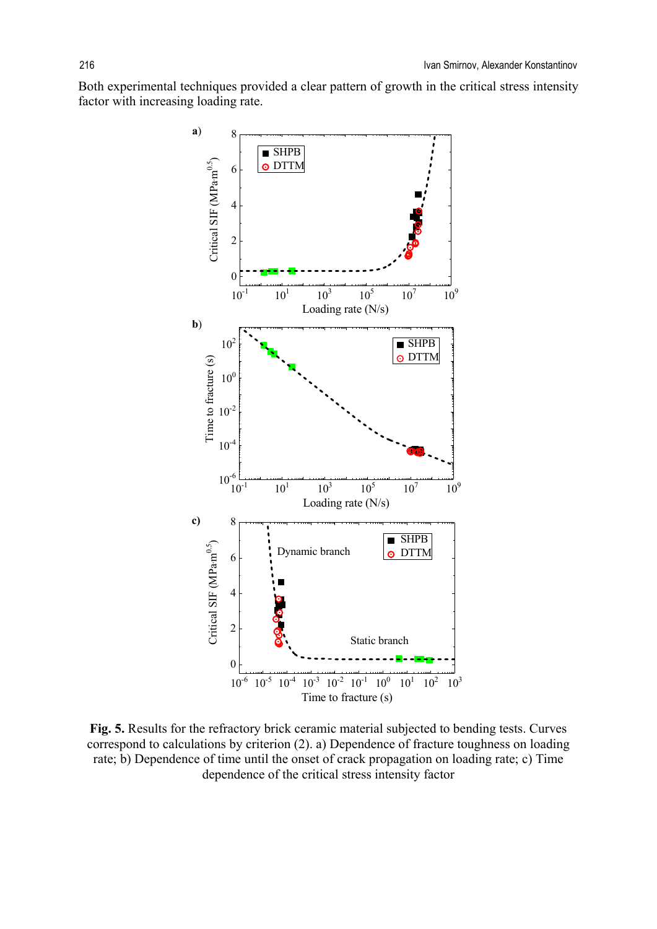Both experimental techniques provided a clear pattern of growth in the critical stress intensity factor with increasing loading rate.



**Fig. 5.** Results for the refractory brick ceramic material subjected to bending tests. Curves correspond to calculations by criterion (2). a) Dependence of fracture toughness on loading rate; b) Dependence of time until the onset of crack propagation on loading rate; c) Time dependence of the critical stress intensity factor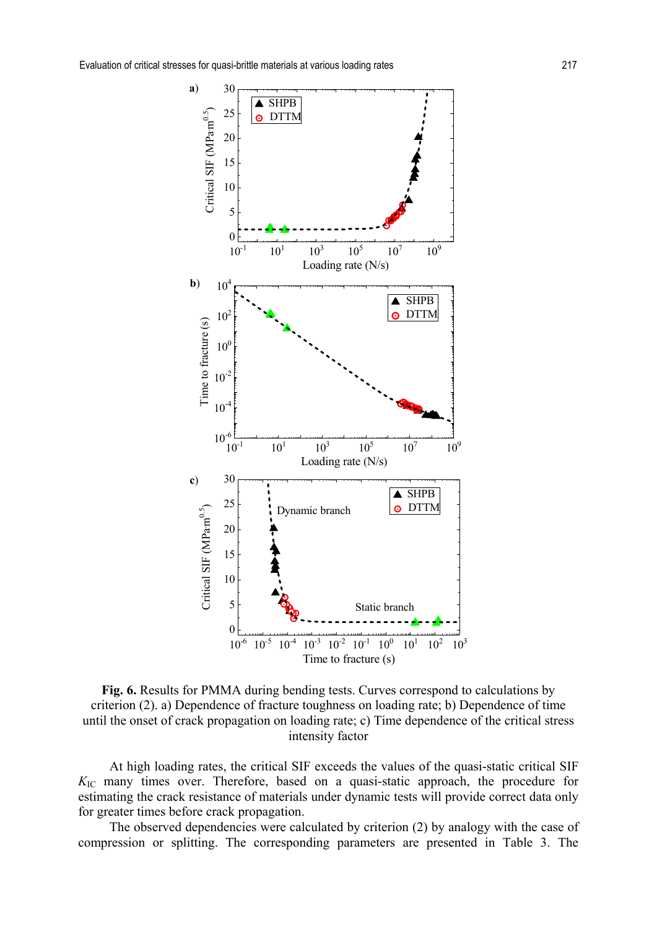

**Fig. 6.** Results for PMMA during bending tests. Curves correspond to calculations by criterion (2). a) Dependence of fracture toughness on loading rate; b) Dependence of time until the onset of crack propagation on loading rate; c) Time dependence of the critical stress intensity factor

At high loading rates, the critical SIF exceeds the values of the quasi-static critical SIF *K*IC many times over. Therefore, based on a quasi-static approach, the procedure for estimating the crack resistance of materials under dynamic tests will provide correct data only for greater times before crack propagation.

The observed dependencies were calculated by criterion (2) by analogy with the case of compression or splitting. The corresponding parameters are presented in Table 3. The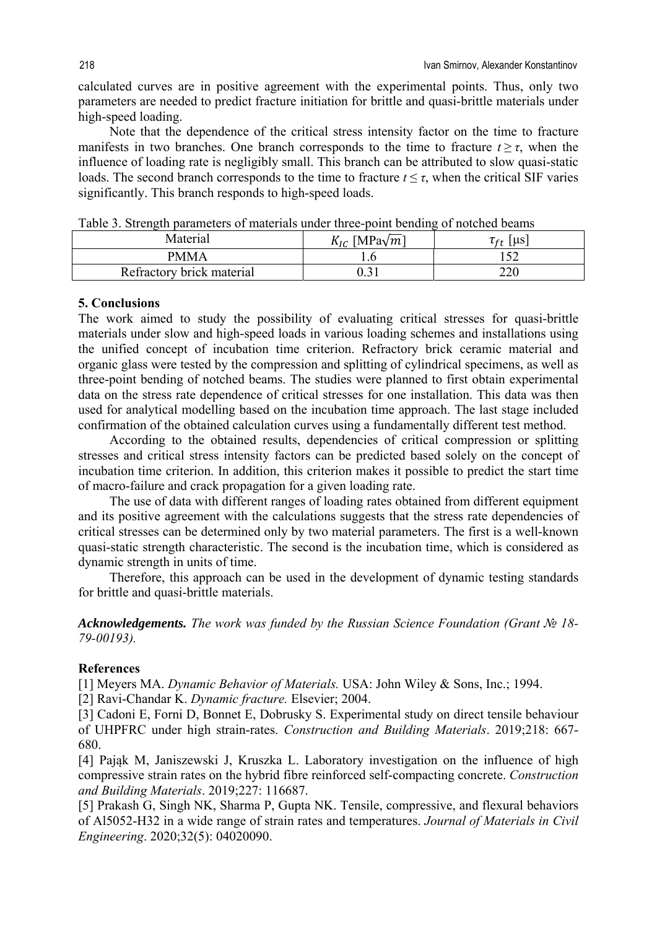calculated curves are in positive agreement with the experimental points. Thus, only two parameters are needed to predict fracture initiation for brittle and quasi-brittle materials under high-speed loading.

Note that the dependence of the critical stress intensity factor on the time to fracture manifests in two branches. One branch corresponds to the time to fracture  $t \geq \tau$ , when the influence of loading rate is negligibly small. This branch can be attributed to slow quasi-static loads. The second branch corresponds to the time to fracture  $t \leq \tau$ , when the critical SIF varies significantly. This branch responds to high-speed loads.

| TAMOTA DI DATATTANI DAN ANITARATU OT ITIANATIANID ANIMAT ATTAA DATIANITIN OT ITOIATIA OTANITIO |                            |                                                                |
|------------------------------------------------------------------------------------------------|----------------------------|----------------------------------------------------------------|
| Material                                                                                       | $K_{IC}$ [MPa $\sqrt{m}$ ] | $ $ $\mu$ s<br>$\tau_{\scriptscriptstyle\mathsf{f}\mathsf{r}}$ |
| PMMA                                                                                           |                            | ے ر                                                            |
| Refractory brick material                                                                      |                            | 220                                                            |

Table 3. Strength parameters of materials under three-point bending of notched beams

#### **5. Conclusions**

The work aimed to study the possibility of evaluating critical stresses for quasi-brittle materials under slow and high-speed loads in various loading schemes and installations using the unified concept of incubation time criterion. Refractory brick ceramic material and organic glass were tested by the compression and splitting of cylindrical specimens, as well as three-point bending of notched beams. The studies were planned to first obtain experimental data on the stress rate dependence of critical stresses for one installation. This data was then used for analytical modelling based on the incubation time approach. The last stage included confirmation of the obtained calculation curves using a fundamentally different test method.

According to the obtained results, dependencies of critical compression or splitting stresses and critical stress intensity factors can be predicted based solely on the concept of incubation time criterion. In addition, this criterion makes it possible to predict the start time of macro-failure and crack propagation for a given loading rate.

The use of data with different ranges of loading rates obtained from different equipment and its positive agreement with the calculations suggests that the stress rate dependencies of critical stresses can be determined only by two material parameters. The first is a well-known quasi-static strength characteristic. The second is the incubation time, which is considered as dynamic strength in units of time.

Therefore, this approach can be used in the development of dynamic testing standards for brittle and quasi-brittle materials.

*Acknowledgements. The work was funded by the Russian Science Foundation (Grant № 18- 79-00193).*

## **References**

[1] Meyers MA. *Dynamic Behavior of Materials.* USA: John Wiley & Sons, Inc.; 1994.

[2] Ravi-Chandar K. *Dynamic fracture.* Elsevier; 2004.

[3] Cadoni E, Forni D, Bonnet E, Dobrusky S. Experimental study on direct tensile behaviour of UHPFRC under high strain-rates. *Construction and Building Materials*. 2019;218: 667- 680.

[4] Pająk M, Janiszewski J, Kruszka L. Laboratory investigation on the influence of high compressive strain rates on the hybrid fibre reinforced self-compacting concrete. *Construction and Building Materials*. 2019;227: 116687.

[5] Prakash G, Singh NK, Sharma P, Gupta NK. Tensile, compressive, and flexural behaviors of Al5052-H32 in a wide range of strain rates and temperatures. *Journal of Materials in Civil Engineering*. 2020;32(5): 04020090.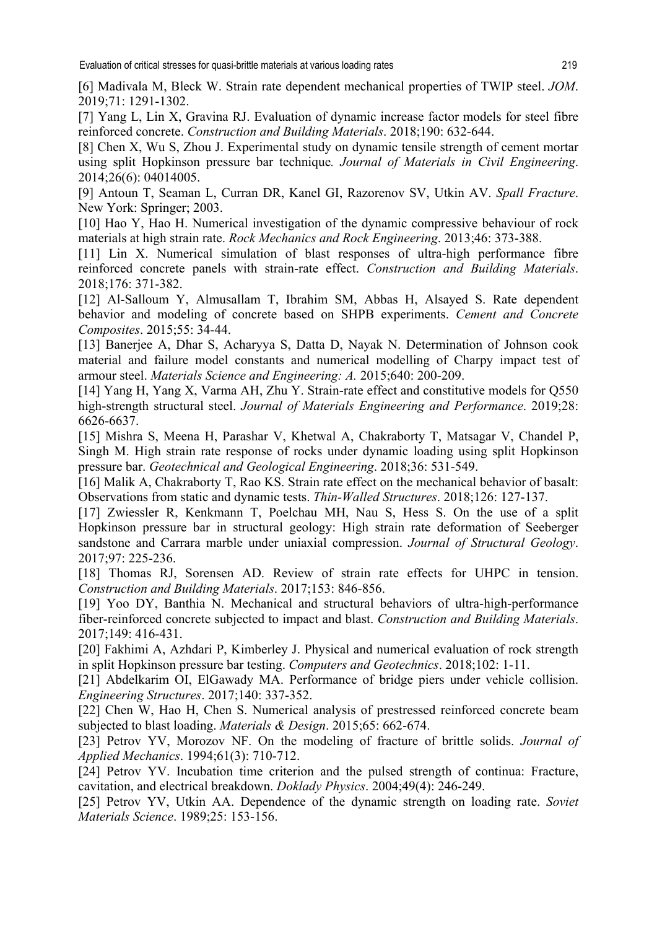[6] Madivala M, Bleck W. Strain rate dependent mechanical properties of TWIP steel. *JOM*. 2019;71: 1291-1302.

[7] Yang L, Lin X, Gravina RJ. Evaluation of dynamic increase factor models for steel fibre reinforced concrete. *Construction and Building Materials*. 2018;190: 632-644.

[8] Chen X, Wu S, Zhou J. Experimental study on dynamic tensile strength of cement mortar using split Hopkinson pressure bar technique*. Journal of Materials in Civil Engineering*. 2014;26(6): 04014005.

[9] Antoun T, Seaman L, Curran DR, Kanel GI, Razorenov SV, Utkin AV. *Spall Fracture*. New York: Springer; 2003.

[10] Hao Y, Hao H. Numerical investigation of the dynamic compressive behaviour of rock materials at high strain rate. *Rock Mechanics and Rock Engineering*. 2013;46: 373-388.

[11] Lin X. Numerical simulation of blast responses of ultra-high performance fibre reinforced concrete panels with strain-rate effect. *Construction and Building Materials*. 2018;176: 371-382.

[12] Al-Salloum Y, Almusallam T, Ibrahim SM, Abbas H, Alsayed S. Rate dependent behavior and modeling of concrete based on SHPB experiments. *Cement and Concrete Composites*. 2015;55: 34-44.

[13] Banerjee A, Dhar S, Acharyya S, Datta D, Nayak N. Determination of Johnson cook material and failure model constants and numerical modelling of Charpy impact test of armour steel. *Materials Science and Engineering: A.* 2015;640: 200-209.

[14] Yang H, Yang X, Varma AH, Zhu Y. Strain-rate effect and constitutive models for Q550 high-strength structural steel. *Journal of Materials Engineering and Performance*. 2019;28: 6626-6637.

[15] Mishra S, Meena H, Parashar V, Khetwal A, Chakraborty T, Matsagar V, Chandel P, Singh M. High strain rate response of rocks under dynamic loading using split Hopkinson pressure bar. *Geotechnical and Geological Engineering*. 2018;36: 531-549.

[16] Malik A, Chakraborty T, Rao KS. Strain rate effect on the mechanical behavior of basalt: Observations from static and dynamic tests. *Thin-Walled Structures*. 2018;126: 127-137.

[17] Zwiessler R, Kenkmann T, Poelchau MH, Nau S, Hess S. On the use of a split Hopkinson pressure bar in structural geology: High strain rate deformation of Seeberger sandstone and Carrara marble under uniaxial compression. *Journal of Structural Geology*. 2017;97: 225-236.

[18] Thomas RJ, Sorensen AD. Review of strain rate effects for UHPC in tension. *Construction and Building Materials*. 2017;153: 846-856.

[19] Yoo DY, Banthia N. Mechanical and structural behaviors of ultra-high-performance fiber-reinforced concrete subjected to impact and blast. *Construction and Building Materials*. 2017;149: 416-431.

[20] Fakhimi A, Azhdari P, Kimberley J. Physical and numerical evaluation of rock strength in split Hopkinson pressure bar testing. *Computers and Geotechnics*. 2018;102: 1-11.

[21] Abdelkarim OI, ElGawady MA. Performance of bridge piers under vehicle collision. *Engineering Structures*. 2017;140: 337-352.

[22] Chen W, Hao H, Chen S. Numerical analysis of prestressed reinforced concrete beam subjected to blast loading. *Materials & Design*. 2015;65: 662-674.

[23] Petrov YV, Morozov NF. On the modeling of fracture of brittle solids. *Journal of Applied Mechanics*. 1994;61(3): 710-712.

[24] Petrov YV. Incubation time criterion and the pulsed strength of continua: Fracture, cavitation, and electrical breakdown. *Doklady Physics*. 2004;49(4): 246-249.

[25] Petrov YV, Utkin AA. Dependence of the dynamic strength on loading rate. *Soviet Materials Science*. 1989;25: 153-156.